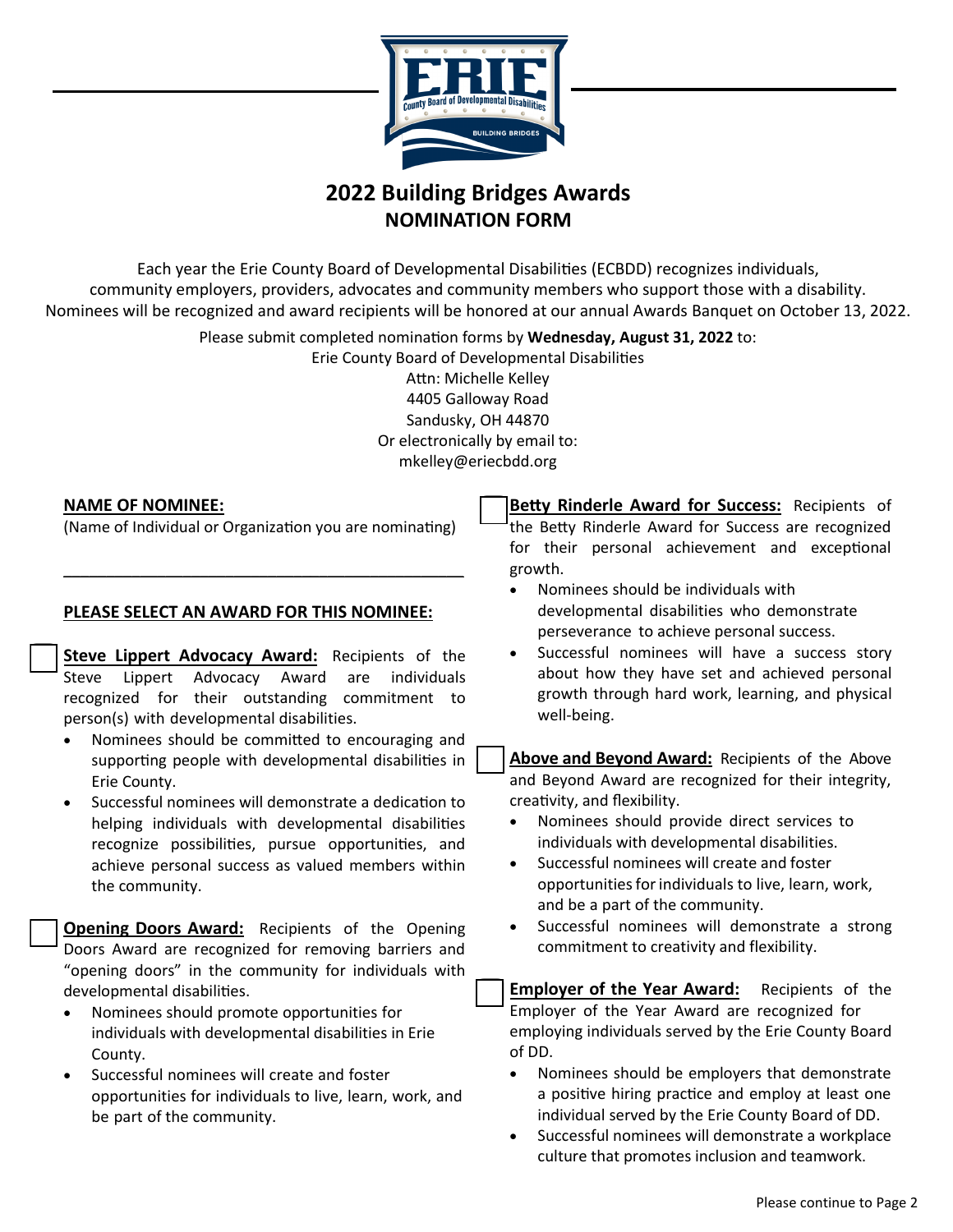

## **2022 Building Bridges Awards NOMINATION FORM**

Each year the Erie County Board of Developmental Disabilities (ECBDD) recognizes individuals, community employers, providers, advocates and community members who support those with a disability. Nominees will be recognized and award recipients will be honored at our annual Awards Banquet on October 13, 2022.

Please submit completed nomination forms by **Wednesday, August 31, 2022** to:

Erie County Board of Developmental Disabilities Attn: Michelle Kelley 4405 Galloway Road Sandusky, OH 44870 Or electronically by email to: mkelley@eriecbdd.org

#### **NAME OF NOMINEE:**

(Name of Individual or Organization you are nominating)

\_\_\_\_\_\_\_\_\_\_\_\_\_\_\_\_\_\_\_\_\_\_\_\_\_\_\_\_\_\_\_\_\_\_\_\_\_\_\_\_\_\_\_\_\_\_\_

### **PLEASE SELECT AN AWARD FOR THIS NOMINEE:**

**Steve Lippert Advocacy Award:** Recipients of the Steve Lippert Advocacy Award are individuals recognized for their outstanding commitment to person(s) with developmental disabilities.

- Nominees should be committed to encouraging and supporting people with developmental disabilities in Erie County.
- Successful nominees will demonstrate a dedication to helping individuals with developmental disabilities recognize possibilities, pursue opportunities, and achieve personal success as valued members within the community.

**Opening Doors Award:** Recipients of the Opening Doors Award are recognized for removing barriers and "opening doors" in the community for individuals with developmental disabilities.

- Nominees should promote opportunities for individuals with developmental disabilities in Erie County.
- Successful nominees will create and foster opportunities for individuals to live, learn, work, and be part of the community.

**Betty Rinderle Award for Success:** Recipients of the Betty Rinderle Award for Success are recognized for their personal achievement and exceptional growth.

- Nominees should be individuals with developmental disabilities who demonstrate perseverance to achieve personal success.
- Successful nominees will have a success story about how they have set and achieved personal growth through hard work, learning, and physical well-being.

**Above and Beyond Award:** Recipients of the Above and Beyond Award are recognized for their integrity, creativity, and flexibility.

- Nominees should provide direct services to individuals with developmental disabilities.
- Successful nominees will create and foster opportunities for individuals to live, learn, work, and be a part of the community.
- Successful nominees will demonstrate a strong commitment to creativity and flexibility.

**Employer of the Year Award:** Recipients of the Employer of the Year Award are recognized for employing individuals served by the Erie County Board of DD.

- Nominees should be employers that demonstrate a positive hiring practice and employ at least one individual served by the Erie County Board of DD.
- Successful nominees will demonstrate a workplace culture that promotes inclusion and teamwork.